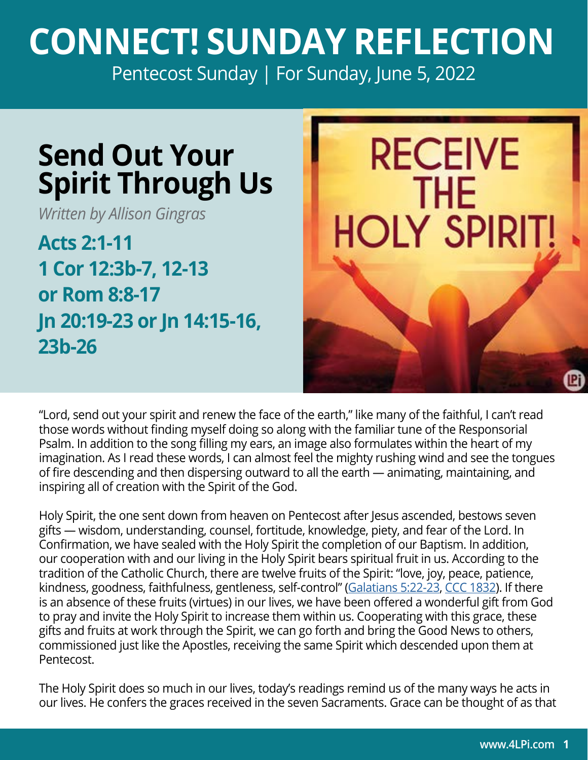## **CONNECT! SUNDAY REFLECTION**

[Pentecost Sunday | For Sunday, June 5, 2022](https://bible.usccb.org/bible/readings/060522-day.cfm)

## **Send Out Your Spirit Through Us**

*Written by Allison Gingras*

**Acts 2:1-11 1 Cor 12:3b-7, 12-13 or Rom 8:8-17 Jn 20:19-23 or Jn 14:15-16, 23b-26**



"Lord, send out your spirit and renew the face of the earth," like many of the faithful, I can't read those words without finding myself doing so along with the familiar tune of the Responsorial Psalm. In addition to the song filling my ears, an image also formulates within the heart of my imagination. As I read these words, I can almost feel the mighty rushing wind and see the tongues of fire descending and then dispersing outward to all the earth — animating, maintaining, and inspiring all of creation with the Spirit of the God.

Holy Spirit, the one sent down from heaven on Pentecost after Jesus ascended, bestows seven gifts — wisdom, understanding, counsel, fortitude, knowledge, piety, and fear of the Lord. In Confirmation, we have sealed with the Holy Spirit the completion of our Baptism. In addition, our cooperation with and our living in the Holy Spirit bears spiritual fruit in us. According to the tradition of the Catholic Church, there are twelve fruits of the Spirit: "love, joy, peace, patience, kindness, goodness, faithfulness, gentleness, self-control" ([Galatians 5:22-23](https://bible.usccb.org/bible/galatians/5), [CCC 1832](https://www.usccb.org/sites/default/files/flipbooks/catechism/453/#zoom=z)). If there is an absence of these fruits (virtues) in our lives, we have been offered a wonderful gift from God to pray and invite the Holy Spirit to increase them within us. Cooperating with this grace, these gifts and fruits at work through the Spirit, we can go forth and bring the Good News to others, commissioned just like the Apostles, receiving the same Spirit which descended upon them at Pentecost.

The Holy Spirit does so much in our lives, today's readings remind us of the many ways he acts in our lives. He confers the graces received in the seven Sacraments. Grace can be thought of as that